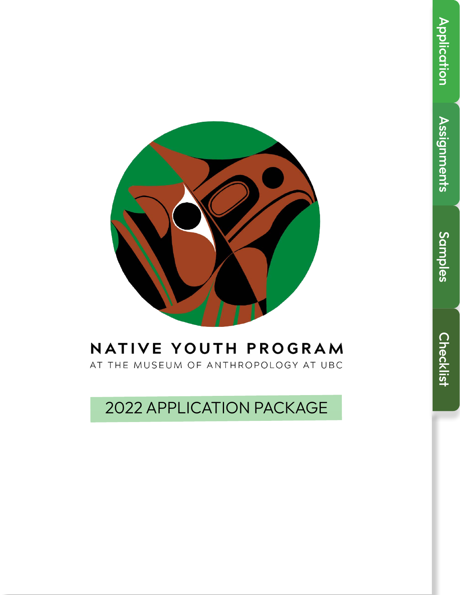

# NATIVE YOUTH PROGRAM AT THE MUSEUM OF ANTHROPOLOGY AT UBC

2022 APPLICATION PACKAGE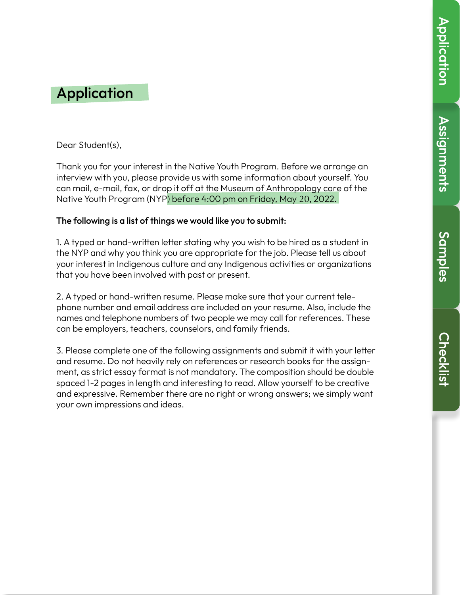Assignments

**Assignments** 

Samples

# **Application**

Dear Student(s),

Thank you for your interest in the Native Youth Program. Before we arrange an interview with you, please provide us with some information about yourself. You can mail, e-mail, fax, or drop it off at the Museum of Anthropology care of the Native Youth Program (NYP) before 4:00 pm on Friday, May 20, 2022.

### The following is a list of things we would like you to submit:

1. A typed or hand-written letter stating why you wish to be hired as a student in the NYP and why you think you are appropriate for the job. Please tell us about your interest in Indigenous culture and any Indigenous activities or organizations that you have been involved with past or present.

2. A typed or hand-written resume. Please make sure that your current telephone number and email address are included on your resume. Also, include the names and telephone numbers of two people we may call for references. These can be employers, teachers, counselors, and family friends.

3. Please complete one of the following assignments and submit it with your letter and resume. Do not heavily rely on references or research books for the assignment, as strict essay format is not mandatory. The composition should be double spaced 1-2 pages in length and interesting to read. Allow yourself to be creative and expressive. Remember there are no right or wrong answers; we simply want your own impressions and ideas.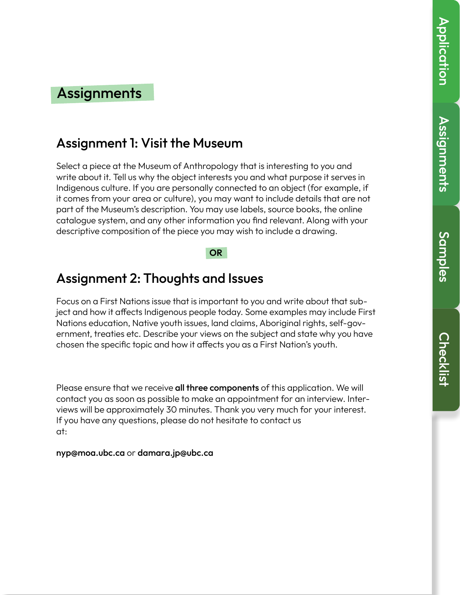# **Assignments** Assignments

## **Assignments**

### Assignment 1: Visit the Museum

Select a piece at the Museum of Anthropology that is interesting to you and write about it. Tell us why the object interests you and what purpose it serves in Indigenous culture. If you are personally connected to an object (for example, if it comes from your area or culture), you may want to include details that are not part of the Museum's description. You may use labels, source books, the online catalogue system, and any other information you find relevant. Along with your descriptive composition of the piece you may wish to include a drawing.

### **OR**

### Assignment 2: Thoughts and Issues

Focus on a First Nations issue that is important to you and write about that subject and how it affects Indigenous people today. Some examples may include First Nations education, Native youth issues, land claims, Aboriginal rights, self-government, treaties etc. Describe your views on the subject and state why you have chosen the specific topic and how it affects you as a First Nation's youth.

Please ensure that we receive all three components of this application. We will contact you as soon as possible to make an appointment for an interview. Interviews will be approximately 30 minutes. Thank you very much for your interest. If you have any questions, please do not hesitate to contact us at:

#### nyp@moa.ubc.ca or damara.jp@ubc.ca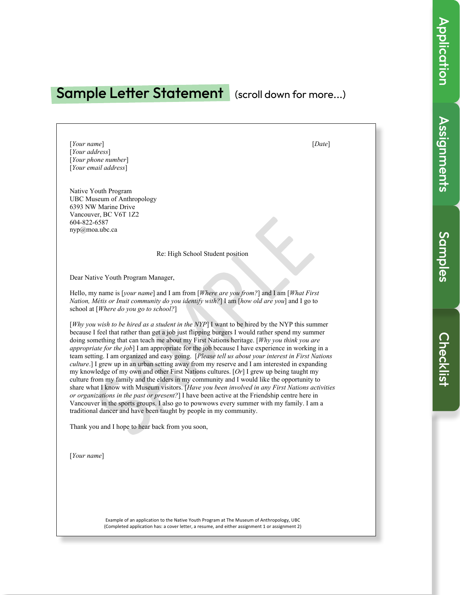# Assignments

### Sample Letter Statement (scroll down for more...)

[*Your name*] [*Date*] [*Your address*] [*Your phone number*] [*Your email address*]

Native Youth Program UBC Museum of Anthropology 6393 NW Marine Drive Vancouver, BC V6T 1Z2 604-822-6587 nyp@moa.ubc.ca

Re: High School Student position

Dear Native Youth Program Manager,

Hello, my name is [*your name*] and I am from [*Where are you from?*] and I am [*What First Nation, Métis or Inuit community do you identify with?*] I am [*how old are you*] and I go to school at [*Where do you go to school?*]

[*Why you wish to be hired as a student in the NYP*] I want to be hired by the NYP this summer because I feel that rather than get a job just flipping burgers I would rather spend my summer doing something that can teach me about my First Nations heritage. [*Why you think you are appropriate for the job*] I am appropriate for the job because I have experience in working in a team setting. I am organized and easy going. [*Please tell us about your interest in First Nations culture*.] I grew up in an urban setting away from my reserve and I am interested in expanding my knowledge of my own and other First Nations cultures. [*Or*] I grew up being taught my culture from my family and the elders in my community and I would like the opportunity to share what I know with Museum visitors. [*Have you been involved in any First Nations activities or organizations in the past or present?*] I have been active at the Friendship centre here in Vancouver in the sports groups. I also go to powwows every summer with my family. I am a traditional dancer and have been taught by people in my community.

Thank you and I hope to hear back from you soon,

[*Your name*]

Example of an application to the Native Youth Program at The Museum of Anthropology, UBC (Completed application has: a cover letter, a resume, and either assignment 1 or assignment 2)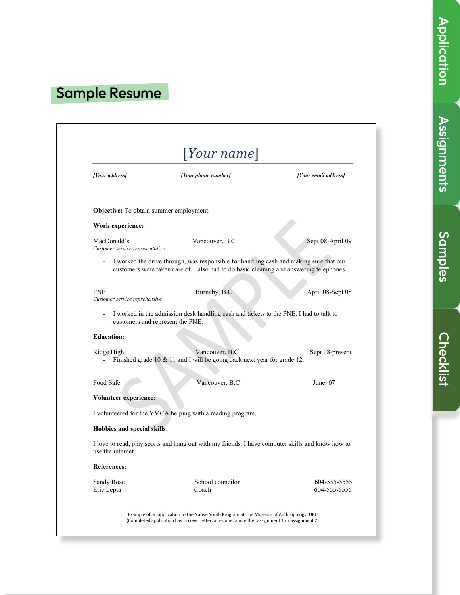# Sample Resume

| Your name                                      |                                                                                                                                                                                   |                      |
|------------------------------------------------|-----------------------------------------------------------------------------------------------------------------------------------------------------------------------------------|----------------------|
| [Your address]                                 | [Your phone number]                                                                                                                                                               | [Your email address] |
| <b>Objective:</b> To obtain summer employment. |                                                                                                                                                                                   |                      |
| Work experience:                               |                                                                                                                                                                                   |                      |
| MacDonald's<br>Customer service representative | Vancouver, B.C                                                                                                                                                                    | Sept 08-April 09     |
|                                                | I worked the drive through, was responsible for handling cash and making sure that our<br>customers were taken care of. I also had to do basic cleaning and answering telephones. |                      |
| <b>PNE</b><br>Customer service reprehensive    | Burnaby, B.C                                                                                                                                                                      | April 08-Sept 08     |
| $\overline{\phantom{a}}$                       | I worked in the admission desk handling cash and tickets to the PNE. I had to talk to<br>customers and represent the PNE.                                                         |                      |
| <b>Education:</b>                              |                                                                                                                                                                                   |                      |
| Ridge High<br>$\overline{\phantom{a}}$         | Vancouver, B.C<br>Finished grade 10 & 11 and I will be going back next year for grade 12.                                                                                         | Sept 08-present      |
| Food Safe                                      | Vancouver, B.C                                                                                                                                                                    | June, $07$           |
| Volunteer experience:                          |                                                                                                                                                                                   |                      |
|                                                | I volunteered for the YMCA helping with a reading program.                                                                                                                        |                      |
| Hobbies and special skills:                    |                                                                                                                                                                                   |                      |
| use the internet.                              | I love to read, play sports and hang out with my friends. I have computer skills and know how to                                                                                  |                      |
| <b>References:</b>                             |                                                                                                                                                                                   |                      |
| Sandy Rose                                     | School councilor                                                                                                                                                                  | 604-555-5555         |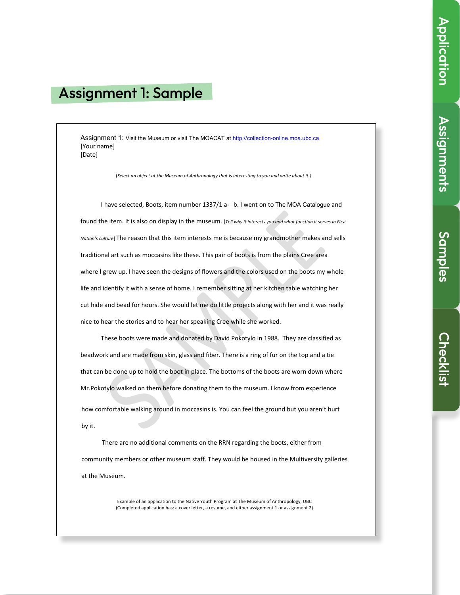# Assignment 1: Sample

Assignment 1: Visit the Museum or visit The MOACAT at http://collection-online.moa.ubc.ca [Your name] [Date] 

(Select an object at the Museum of Anthropology that is interesting to you and write about it.)

I have selected, Boots, item number 1337/1 a- b. I went on to The MOA Catalogue and found the item. It is also on display in the museum. [Tell why it interests you and what function it serves in First Nation's culture] The reason that this item interests me is because my grandmother makes and sells traditional art such as moccasins like these. This pair of boots is from the plains Cree area where I grew up. I have seen the designs of flowers and the colors used on the boots my whole life and identify it with a sense of home. I remember sitting at her kitchen table watching her cut hide and bead for hours. She would let me do little projects along with her and it was really nice to hear the stories and to hear her speaking Cree while she worked.

These boots were made and donated by David Pokotylo in 1988. They are classified as beadwork and are made from skin, glass and fiber. There is a ring of fur on the top and a tie that can be done up to hold the boot in place. The bottoms of the boots are worn down where Mr.Pokotylo walked on them before donating them to the museum. I know from experience how comfortable walking around in moccasins is. You can feel the ground but you aren't hurt by it.

There are no additional comments on the RRN regarding the boots, either from community members or other museum staff. They would be housed in the Multiversity galleries at the Museum.

> Example of an application to the Native Youth Program at The Museum of Anthropology, UBC (Completed application has: a cover letter, a resume, and either assignment 1 or assignment 2)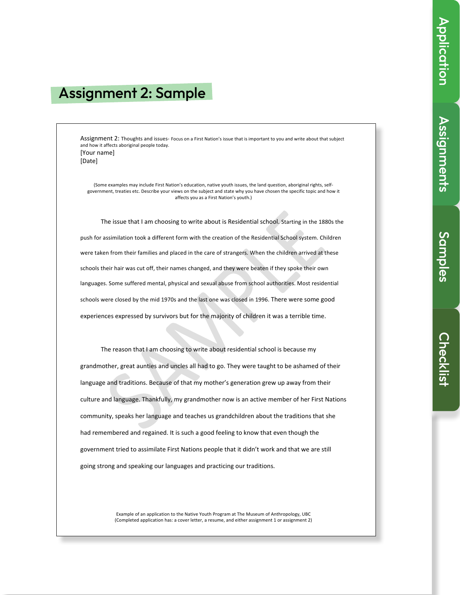# **Assignments** Assignments

## Assignment 2: Sample

Assignment 2: Thoughts and issues- Focus on a First Nation's issue that is important to you and write about that subject and how it affects aboriginal people today. [Your name]

[Date] 

(Some examples may include First Nation's education, native youth issues, the land question, aboriginal rights, selfgovernment, treaties etc. Describe your views on the subject and state why you have chosen the specific topic and how it affects you as a First Nation's youth.)

The issue that I am choosing to write about is Residential school. Starting in the 1880s the push for assimilation took a different form with the creation of the Residential School system. Children were taken from their families and placed in the care of strangers. When the children arrived at these schools their hair was cut off, their names changed, and they were beaten if they spoke their own languages. Some suffered mental, physical and sexual abuse from school authorities. Most residential schools were closed by the mid 1970s and the last one was closed in 1996. There were some good experiences expressed by survivors but for the majority of children it was a terrible time.

The reason that I am choosing to write about residential school is because my grandmother, great aunties and uncles all had to go. They were taught to be ashamed of their language and traditions. Because of that my mother's generation grew up away from their culture and language. Thankfully, my grandmother now is an active member of her First Nations community, speaks her language and teaches us grandchildren about the traditions that she had remembered and regained. It is such a good feeling to know that even though the government tried to assimilate First Nations people that it didn't work and that we are still going strong and speaking our languages and practicing our traditions.

> Example of an application to the Native Youth Program at The Museum of Anthropology, UBC (Completed application has: a cover letter, a resume, and either assignment 1 or assignment 2)